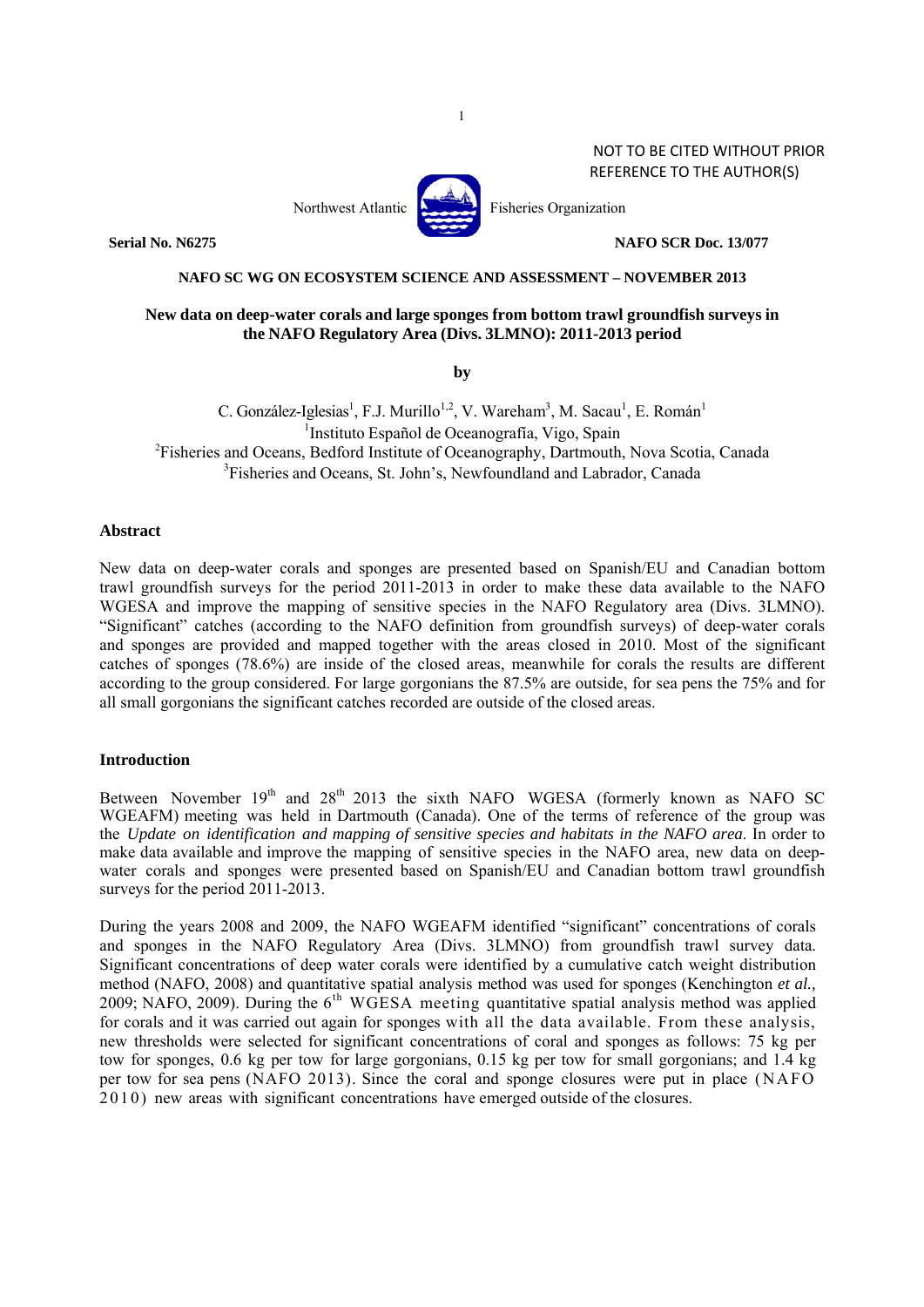### NOT TO BE CITED WITHOUT PRIOR REFERENCE TO THE AUTHOR(S)



**Serial No. N6275** NAFO SCR Doc. 13/077

### **NAFO SC WG ON ECOSYSTEM SCIENCE AND ASSESSMENT – NOVEMBER 2013**

# **New data on deep-water corals and large sponges from bottom trawl groundfish surveys in the NAFO Regulatory Area (Divs. 3LMNO): 2011-2013 period**

**by** 

C. González-Iglesias<sup>1</sup>, F.J. Murillo<sup>1,2</sup>, V. Wareham<sup>3</sup>, M. Sacau<sup>1</sup>, E. Román<sup>1</sup> <sup>1</sup>Instituto Español de Oceanografía, Vigo, Spain<br><sup>2</sup>Eisberies and Oceans, Bedford Institute of Oceanography, Dertmouth Fisheries and Oceans, Bedford Institute of Oceanography, Dartmouth, Nova Scotia, Canada <sup>3</sup>Fisheries and Oceans, St. John's, Newfoundland and Labrador, Canada

### **Abstract**

New data on deep-water corals and sponges are presented based on Spanish/EU and Canadian bottom trawl groundfish surveys for the period 2011-2013 in order to make these data available to the NAFO WGESA and improve the mapping of sensitive species in the NAFO Regulatory area (Divs. 3LMNO). "Significant" catches (according to the NAFO definition from groundfish surveys) of deep-water corals and sponges are provided and mapped together with the areas closed in 2010. Most of the significant catches of sponges (78.6%) are inside of the closed areas, meanwhile for corals the results are different according to the group considered. For large gorgonians the 87.5% are outside, for sea pens the 75% and for all small gorgonians the significant catches recorded are outside of the closed areas.

## **Introduction**

Between November  $19<sup>th</sup>$  and  $28<sup>th</sup>$  2013 the sixth NAFO WGESA (formerly known as NAFO SC WGEAFM) meeting was held in Dartmouth (Canada). One of the terms of reference of the group was the *Update on identification and mapping of sensitive species and habitats in the NAFO area*. In order to make data available and improve the mapping of sensitive species in the NAFO area, new data on deepwater corals and sponges were presented based on Spanish/EU and Canadian bottom trawl groundfish surveys for the period 2011-2013.

During the years 2008 and 2009, the NAFO WGEAFM identified "significant" concentrations of corals and sponges in the NAFO Regulatory Area (Divs. 3LMNO) from groundfish trawl survey data. Significant concentrations of deep water corals were identified by a cumulative catch weight distribution method (NAFO, 2008) and quantitative spatial analysis method was used for sponges (Kenchington *et al.,* 2009; NAFO, 2009). During the 6<sup>th</sup> WGESA meeting quantitative spatial analysis method was applied for corals and it was carried out again for sponges with all the data available. From these analysis, new thresholds were selected for significant concentrations of coral and sponges as follows: 75 kg per tow for sponges, 0.6 kg per tow for large gorgonians, 0.15 kg per tow for small gorgonians; and 1.4 kg per tow for sea pens (NAFO 2013). Since the coral and sponge closures were put in place (NAFO 2010) new areas with significant concentrations have emerged outside of the closures.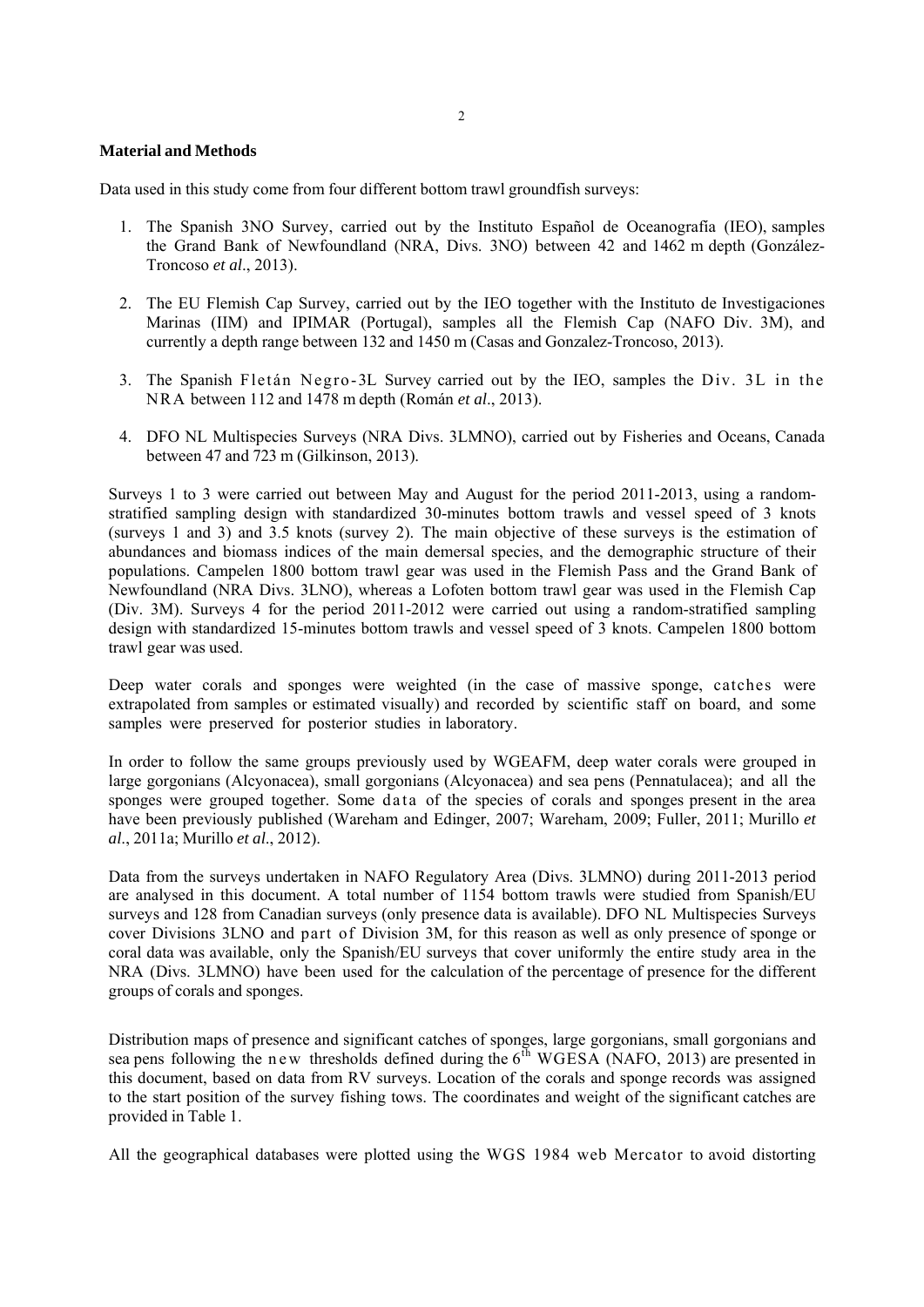### **Material and Methods**

Data used in this study come from four different bottom trawl groundfish surveys:

- 1. The Spanish 3NO Survey, carried out by the Instituto Español de Oceanografía (IEO), samples the Grand Bank of Newfoundland (NRA, Divs. 3NO) between 42 and 1462 m depth (González-Troncoso *et al*., 2013).
- 2. The EU Flemish Cap Survey, carried out by the IEO together with the Instituto de Investigaciones Marinas (IIM) and IPIMAR (Portugal), samples all the Flemish Cap (NAFO Div. 3M), and currently a depth range between 132 and 1450 m (Casas and Gonzalez-Troncoso, 2013).
- 3. The Spanish Fletán Negro-3L Survey carried out by the IEO, samples the Div. 3L in the NRA between 112 and 1478 m depth (Román *et al*., 2013).
- 4. DFO NL Multispecies Surveys (NRA Divs. 3LMNO), carried out by Fisheries and Oceans, Canada between 47 and 723 m (Gilkinson, 2013).

Surveys 1 to 3 were carried out between May and August for the period 2011-2013, using a randomstratified sampling design with standardized 30-minutes bottom trawls and vessel speed of 3 knots (surveys 1 and 3) and 3.5 knots (survey 2). The main objective of these surveys is the estimation of abundances and biomass indices of the main demersal species, and the demographic structure of their populations. Campelen 1800 bottom trawl gear was used in the Flemish Pass and the Grand Bank of Newfoundland (NRA Divs. 3LNO), whereas a Lofoten bottom trawl gear was used in the Flemish Cap (Div. 3M). Surveys 4 for the period 2011-2012 were carried out using a random-stratified sampling design with standardized 15-minutes bottom trawls and vessel speed of 3 knots. Campelen 1800 bottom trawl gear was used.

Deep water corals and sponges were weighted (in the case of massive sponge, catches were extrapolated from samples or estimated visually) and recorded by scientific staff on board, and some samples were preserved for posterior studies in laboratory.

In order to follow the same groups previously used by WGEAFM, deep water corals were grouped in large gorgonians (Alcyonacea), small gorgonians (Alcyonacea) and sea pens (Pennatulacea); and all the sponges were grouped together. Some data of the species of corals and sponges present in the area have been previously published (Wareham and Edinger, 2007; Wareham, 2009; Fuller, 2011; Murillo *et al*., 2011a; Murillo *et al*., 2012).

Data from the surveys undertaken in NAFO Regulatory Area (Divs. 3LMNO) during 2011-2013 period are analysed in this document. A total number of 1154 bottom trawls were studied from Spanish/EU surveys and 128 from Canadian surveys (only presence data is available). DFO NL Multispecies Surveys cover Divisions 3LNO and part of Division 3M, for this reason as well as only presence of sponge or coral data was available, only the Spanish/EU surveys that cover uniformly the entire study area in the NRA (Divs. 3LMNO) have been used for the calculation of the percentage of presence for the different groups of corals and sponges.

Distribution maps of presence and significant catches of sponges, large gorgonians, small gorgonians and sea pens following the n ew thresholds defined during the 6<sup>th</sup> WGESA (NAFO, 2013) are presented in this document, based on data from RV surveys. Location of the corals and sponge records was assigned to the start position of the survey fishing tows. The coordinates and weight of the significant catches are provided in Table 1.

All the geographical databases were plotted using the WGS 1984 web Mercator to avoid distorting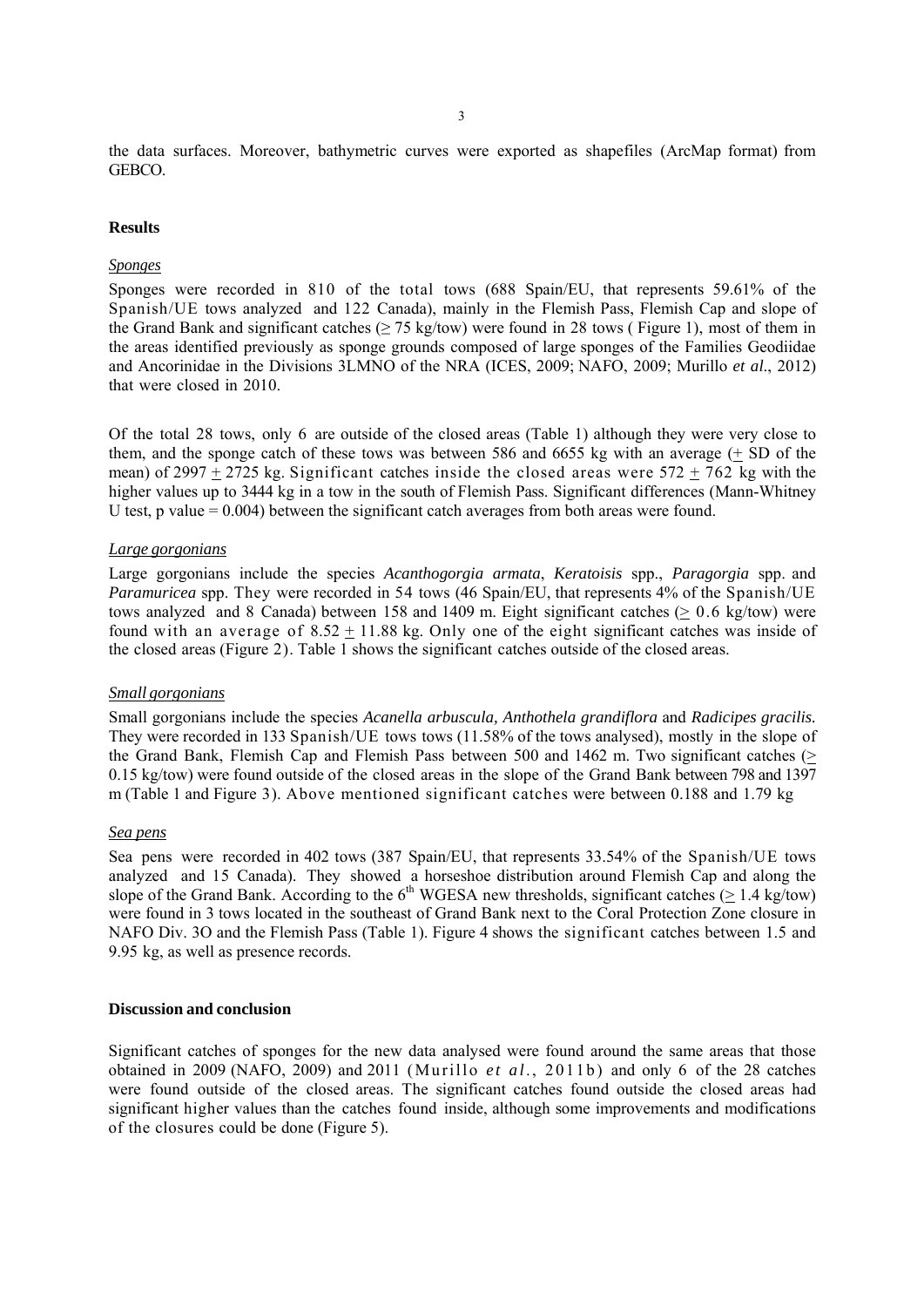the data surfaces. Moreover, bathymetric curves were exported as shapefiles (ArcMap format) from GEBCO.

### **Results**

# *Sponges*

Sponges were recorded in 810 of the total tows (688 Spain/EU, that represents 59.61% of the Spanish/UE tows analyzed and 122 Canada), mainly in the Flemish Pass, Flemish Cap and slope of the Grand Bank and significant catches ( $\geq$  75 kg/tow) were found in 28 tows (Figure 1), most of them in the areas identified previously as sponge grounds composed of large sponges of the Families Geodiidae and Ancorinidae in the Divisions 3LMNO of the NRA (ICES, 2009; NAFO, 2009; Murillo *et al*., 2012) that were closed in 2010.

Of the total 28 tows, only 6 are outside of the closed areas (Table 1) although they were very close to them, and the sponge catch of these tows was between 586 and 6655 kg with an average (+ SD of the mean) of 2997 + 2725 kg. Significant catches inside the closed areas were  $572 + 762$  kg with the higher values up to 3444 kg in a tow in the south of Flemish Pass. Significant differences (Mann-Whitney U test, p value  $= 0.004$ ) between the significant catch averages from both areas were found.

### *Large gorgonians*

Large gorgonians include the species *Acanthogorgia armata*, *Keratoisis* spp., *Paragorgia* spp. and *Paramuricea* spp. They were recorded in 54 tows (46 Spain/EU, that represents 4% of the Spanish/UE tows analyzed and 8 Canada) between 158 and 1409 m. Eight significant catches ( $\geq 0.6$  kg/tow) were found with an average of 8.52 + 11.88 kg. Only one of the eight significant catches was inside of the closed areas (Figure 2). Table 1 shows the significant catches outside of the closed areas.

## *Small gorgonians*

Small gorgonians include the species *Acanella arbuscula, Anthothela grandiflora* and *Radicipes gracilis.*  They were recorded in 133 Spanish/UE tows tows (11.58% of the tows analysed), mostly in the slope of the Grand Bank, Flemish Cap and Flemish Pass between 500 and 1462 m. Two significant catches (> 0.15 kg/tow) were found outside of the closed areas in the slope of the Grand Bank between 798 and 1397 m (Table 1 and Figure 3). Above mentioned significant catches were between 0.188 and 1.79 kg

#### *Sea pens*

Sea pens were recorded in 402 tows (387 Spain/EU, that represents 33.54% of the Spanish/UE tows analyzed and 15 Canada). They showed a horseshoe distribution around Flemish Cap and along the slope of the Grand Bank. According to the  $6<sup>th</sup>$  WGESA new thresholds, significant catches (> 1.4 kg/tow) were found in 3 tows located in the southeast of Grand Bank next to the Coral Protection Zone closure in NAFO Div. 3O and the Flemish Pass (Table 1). Figure 4 shows the significant catches between 1.5 and 9.95 kg, as well as presence records.

## **Discussion and conclusion**

Significant catches of sponges for the new data analysed were found around the same areas that those obtained in 2009 (NAFO, 2009) and 2011 (Murillo *et al*., 2011b) and only 6 of the 28 catches were found outside of the closed areas. The significant catches found outside the closed areas had significant higher values than the catches found inside, although some improvements and modifications of the closures could be done (Figure 5).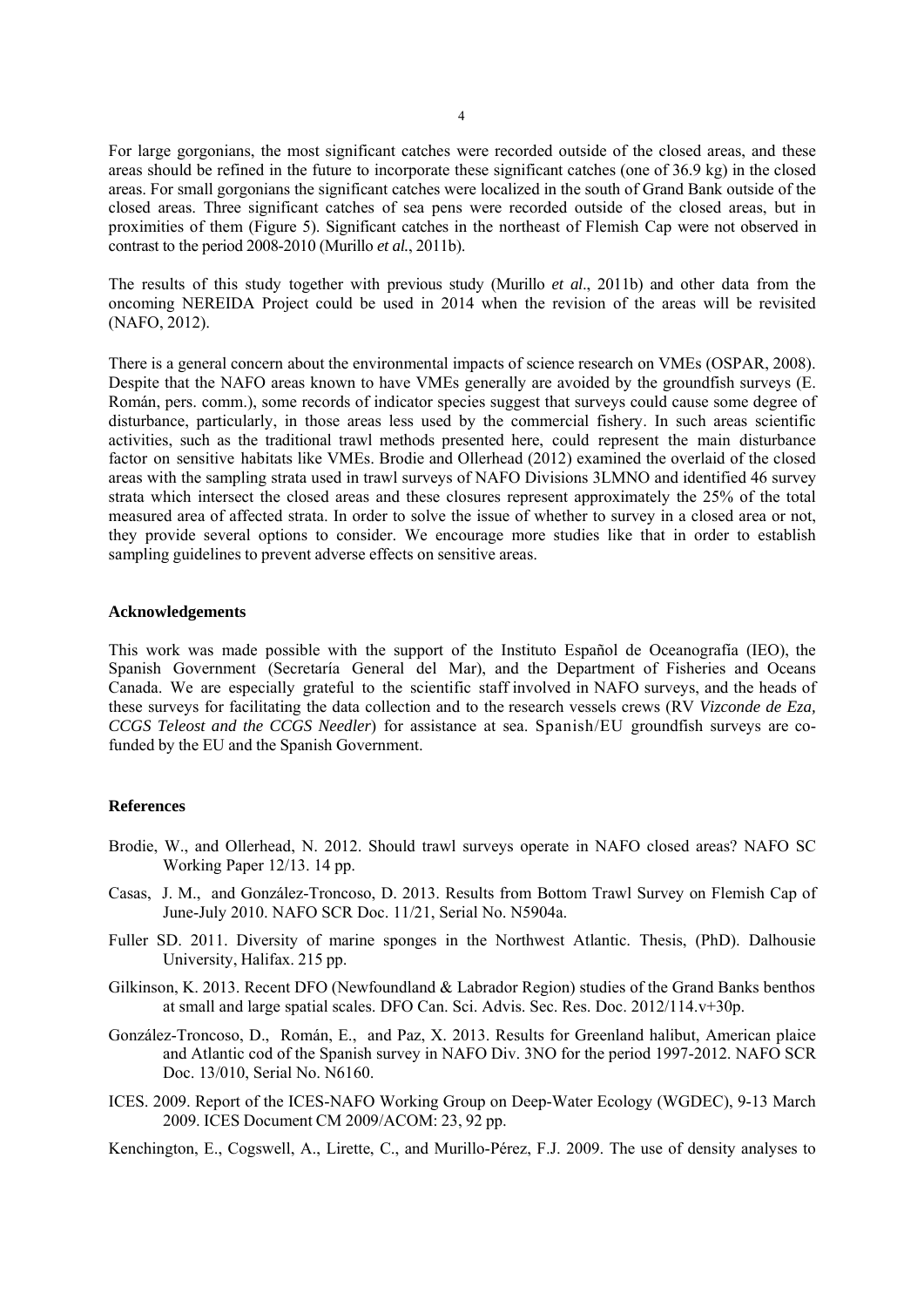For large gorgonians, the most significant catches were recorded outside of the closed areas, and these areas should be refined in the future to incorporate these significant catches (one of 36.9 kg) in the closed areas. For small gorgonians the significant catches were localized in the south of Grand Bank outside of the closed areas. Three significant catches of sea pens were recorded outside of the closed areas, but in proximities of them (Figure 5). Significant catches in the northeast of Flemish Cap were not observed in contrast to the period 2008-2010 (Murillo *et al.*, 2011b).

The results of this study together with previous study (Murillo *et al*., 2011b) and other data from the oncoming NEREIDA Project could be used in 2014 when the revision of the areas will be revisited (NAFO, 2012).

There is a general concern about the environmental impacts of science research on VMEs (OSPAR, 2008). Despite that the NAFO areas known to have VMEs generally are avoided by the groundfish surveys (E. Román, pers. comm.), some records of indicator species suggest that surveys could cause some degree of disturbance, particularly, in those areas less used by the commercial fishery. In such areas scientific activities, such as the traditional trawl methods presented here, could represent the main disturbance factor on sensitive habitats like VMEs. Brodie and Ollerhead (2012) examined the overlaid of the closed areas with the sampling strata used in trawl surveys of NAFO Divisions 3LMNO and identified 46 survey strata which intersect the closed areas and these closures represent approximately the 25% of the total measured area of affected strata. In order to solve the issue of whether to survey in a closed area or not, they provide several options to consider. We encourage more studies like that in order to establish sampling guidelines to prevent adverse effects on sensitive areas.

### **Acknowledgements**

This work was made possible with the support of the Instituto Español de Oceanografía (IEO), the Spanish Government (Secretaría General del Mar), and the Department of Fisheries and Oceans Canada. We are especially grateful to the scientific staff involved in NAFO surveys, and the heads of these surveys for facilitating the data collection and to the research vessels crews (RV *Vizconde de Eza, CCGS Teleost and the CCGS Needler*) for assistance at sea. Spanish/EU groundfish surveys are cofunded by the EU and the Spanish Government.

### **References**

- Brodie, W., and Ollerhead, N. 2012. Should trawl surveys operate in NAFO closed areas? NAFO SC Working Paper 12/13. 14 pp.
- Casas, J. M., and González-Troncoso, D. 2013. Results from Bottom Trawl Survey on Flemish Cap of June-July 2010. NAFO SCR Doc. 11/21, Serial No. N5904a.
- Fuller SD. 2011. Diversity of marine sponges in the Northwest Atlantic. Thesis, (PhD). Dalhousie University, Halifax. 215 pp.
- Gilkinson, K. 2013. Recent DFO (Newfoundland & Labrador Region) studies of the Grand Banks benthos at small and large spatial scales. DFO Can. Sci. Advis. Sec. Res. Doc. 2012/114.v+30p.
- González-Troncoso, D., Román, E., and Paz, X. 2013. Results for Greenland halibut, American plaice and Atlantic cod of the Spanish survey in NAFO Div. 3NO for the period 1997-2012. NAFO SCR Doc. 13/010, Serial No. N6160.
- ICES. 2009. Report of the ICES-NAFO Working Group on Deep-Water Ecology (WGDEC), 9-13 March 2009. ICES Document CM 2009/ACOM: 23, 92 pp.

Kenchington, E., Cogswell, A., Lirette, C., and Murillo-Pérez, F.J. 2009. The use of density analyses to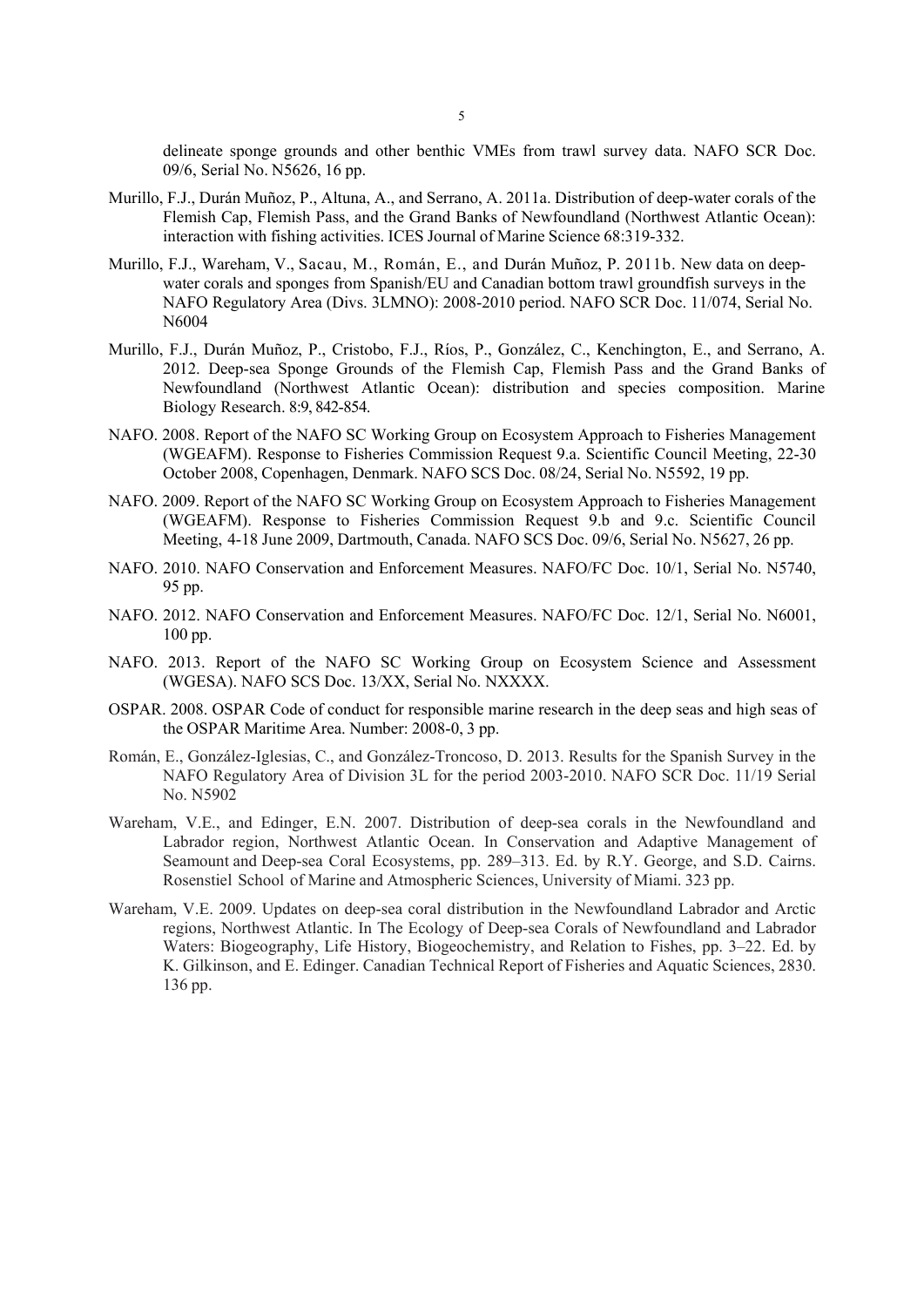delineate sponge grounds and other benthic VMEs from trawl survey data. NAFO SCR Doc. 09/6, Serial No. N5626, 16 pp.

- Murillo, F.J., Durán Muñoz, P., Altuna, A., and Serrano, A. 2011a. Distribution of deep-water corals of the Flemish Cap, Flemish Pass, and the Grand Banks of Newfoundland (Northwest Atlantic Ocean): interaction with fishing activities. ICES Journal of Marine Science 68:319-332.
- Murillo, F.J., Wareham, V., Sacau, M., Román, E., and Durán Muñoz, P. 2011b. New data on deepwater corals and sponges from Spanish/EU and Canadian bottom trawl groundfish surveys in the NAFO Regulatory Area (Divs. 3LMNO): 2008-2010 period. NAFO SCR Doc. 11/074, Serial No. N6004
- Murillo, F.J., Durán Muñoz, P., Cristobo, F.J., Ríos, P., González, C., Kenchington, E., and Serrano, A. 2012. Deep-sea Sponge Grounds of the Flemish Cap, Flemish Pass and the Grand Banks of Newfoundland (Northwest Atlantic Ocean): distribution and species composition. Marine Biology Research. 8:9, 842-854.
- NAFO. 2008. Report of the NAFO SC Working Group on Ecosystem Approach to Fisheries Management (WGEAFM). Response to Fisheries Commission Request 9.a. Scientific Council Meeting, 22-30 October 2008, Copenhagen, Denmark. NAFO SCS Doc. 08/24, Serial No. N5592, 19 pp.
- NAFO. 2009. Report of the NAFO SC Working Group on Ecosystem Approach to Fisheries Management (WGEAFM). Response to Fisheries Commission Request 9.b and 9.c. Scientific Council Meeting, 4-18 June 2009, Dartmouth, Canada. NAFO SCS Doc. 09/6, Serial No. N5627, 26 pp.
- NAFO. 2010. NAFO Conservation and Enforcement Measures. NAFO/FC Doc. 10/1, Serial No. N5740, 95 pp.
- NAFO. 2012. NAFO Conservation and Enforcement Measures. NAFO/FC Doc. 12/1, Serial No. N6001, 100 pp.
- NAFO. 2013. Report of the NAFO SC Working Group on Ecosystem Science and Assessment (WGESA). NAFO SCS Doc. 13/XX, Serial No. NXXXX.
- OSPAR. 2008. OSPAR Code of conduct for responsible marine research in the deep seas and high seas of the OSPAR Maritime Area. Number: 2008-0, 3 pp.
- Román, E., González-Iglesias, C., and González-Troncoso, D. 2013. Results for the Spanish Survey in the NAFO Regulatory Area of Division 3L for the period 2003-2010. NAFO SCR Doc. 11/19 Serial No. N5902
- Wareham, V.E., and Edinger, E.N. 2007. Distribution of deep-sea corals in the Newfoundland and Labrador region, Northwest Atlantic Ocean. In Conservation and Adaptive Management of Seamount and Deep-sea Coral Ecosystems, pp. 289–313. Ed. by R.Y. George, and S.D. Cairns. Rosenstiel School of Marine and Atmospheric Sciences, University of Miami. 323 pp.
- Wareham, V.E. 2009. Updates on deep-sea coral distribution in the Newfoundland Labrador and Arctic regions, Northwest Atlantic. In The Ecology of Deep-sea Corals of Newfoundland and Labrador Waters: Biogeography, Life History, Biogeochemistry, and Relation to Fishes, pp. 3–22. Ed. by K. Gilkinson, and E. Edinger. Canadian Technical Report of Fisheries and Aquatic Sciences, 2830. 136 pp.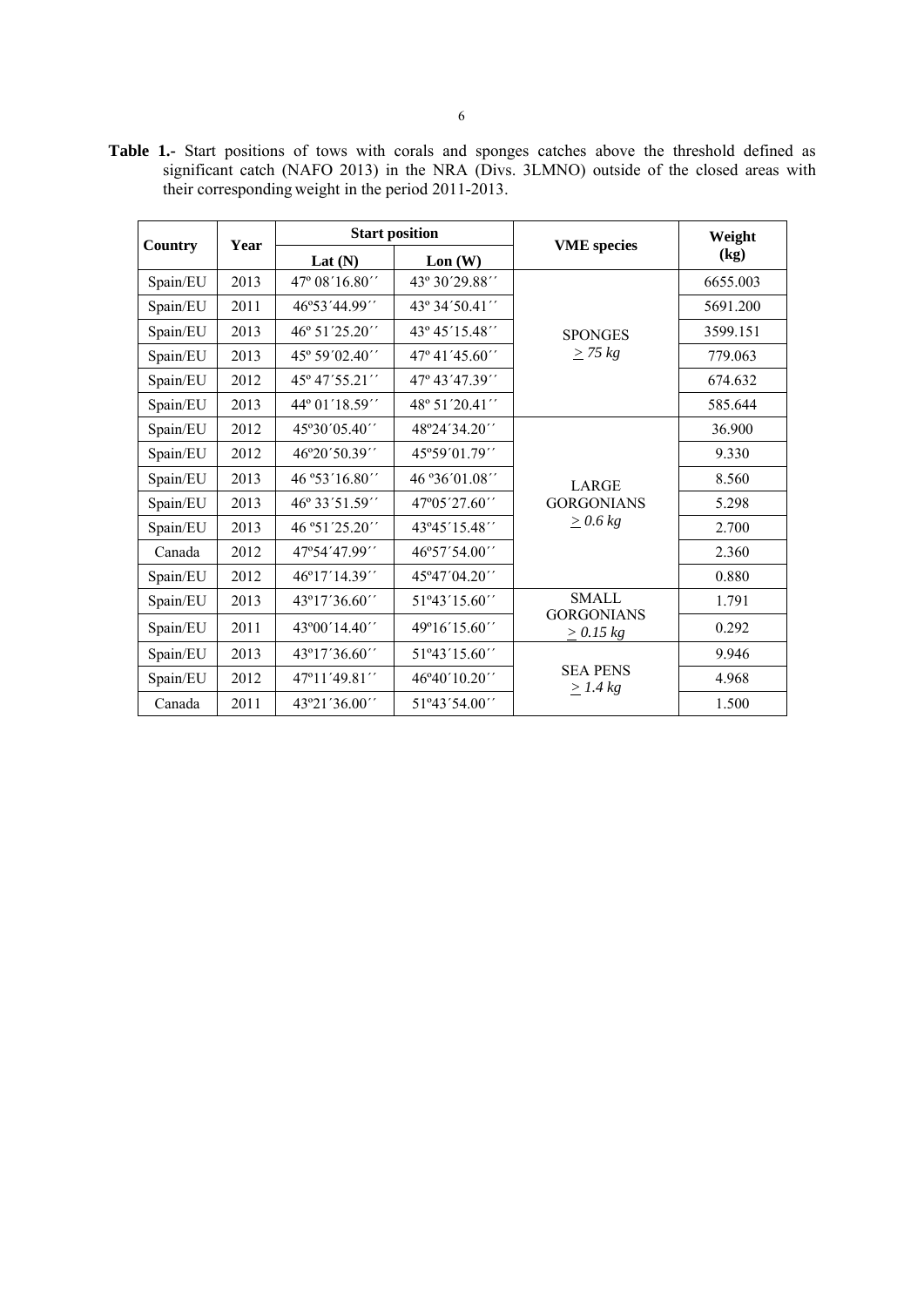**Country** Year **Property** Start position **VME** species Weight **Weight** Lat  $(N)$  Lon  $(W)$  <br>  $\qquad \qquad$  Lon  $(W)$   $\qquad \qquad$  (kg) Spain/EU | 2013 | 47° 08′ 16.80′ | 43° 30′ 29.88′ **SPONGES** *> 75 kg*  6655.003 Spain/EU 2011 46°53´44.99´´ 43° 34´50.41´´ | 5691.200 Spain/EU 2013 46° 51´25.20´´ 43° 45´15.48´´ SPONGES 3599.151 Spain/EU 2013 45° 59′02.40′′ 47° 41′45.60′′  $\geq$  75 kg 779.063 Spain/EU 2012 45° 47´55.21´´ 47° 43´47.39´´ 674.632 Spain/EU 2013 44° 01′18.59′′ 48° 51′ 20.41′′ 585.644 Spain/EU | 2012 | 45°30′05.40′′ | 48°24′34.20′′ LARGE Spain/EU | 2013 | 46° 33´51.59´´ | 47°05´27.60´´ | GORGONIANS | 5.298  $\geq 0.6$  kg 36.900  $\text{Span} / \text{EU}$  2012 46°20´50.39´´ 45°59´01.79´´ 9.330 Spain/EU 2013 46 ° 53' 16.80'' 46 ° 36' 01.08''  $\vert$  1 A B C E 3.560 Spain/EU 2013 46 °51´25.20´´ 43°45´15.48´´  $\vert$   $\geq 0.0 \text{ kg}$  2.700 Canada 2012 47°54´47.99´´ 46°57´54.00´´ 2.360 Spain/EU 2012 46°17'14.39'' 45°47'04.20'' 0.880 Spain/EU 2013 43°17′36.60<sup> $\cdot$ </sup> 51°43′15.60<sup> $\cdot$ </sup> SMALL GORGONIANS *> 0.15 kg*  1.791 Spain/EU | 2011 | 43°00´14.40´´ | 49°16´15.60´´ |  $\frac{36.6833333333}{60.292}$  0.292 Spain/EU 2013 43°17′36.60<sup> $\prime\prime$ </sup> 51°43′15.60<sup> $\prime\prime$ </sup> SEA PENS *> 1.4 kg*  9.946 Spain/EU 2012 47°11′49.81′′ 46°40′10.20′′ 55 4.11. Canada 2011 43°21´36.00´ 51°43´54.00´  $\vert$  51°43′54.00´ 1.500

**Table 1.-** Start positions of tows with corals and sponges catches above the threshold defined as significant catch (NAFO 2013) in the NRA (Divs. 3LMNO) outside of the closed areas with their corresponding weight in the period 2011-2013.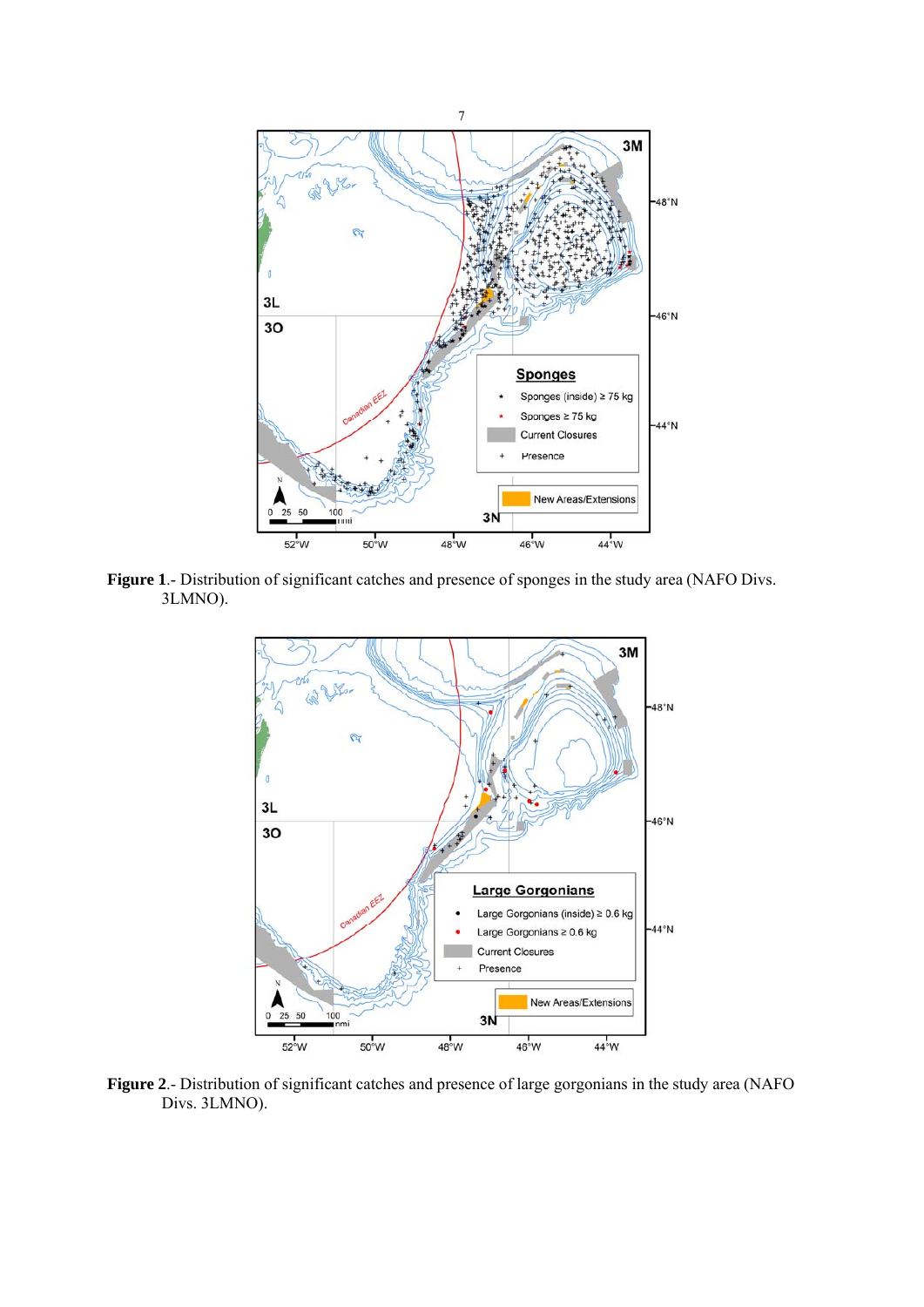

**Figure 1**.- Distribution of significant catches and presence of sponges in the study area (NAFO Divs. 3LMNO).



**Figure 2**.- Distribution of significant catches and presence of large gorgonians in the study area (NAFO Divs. 3LMNO).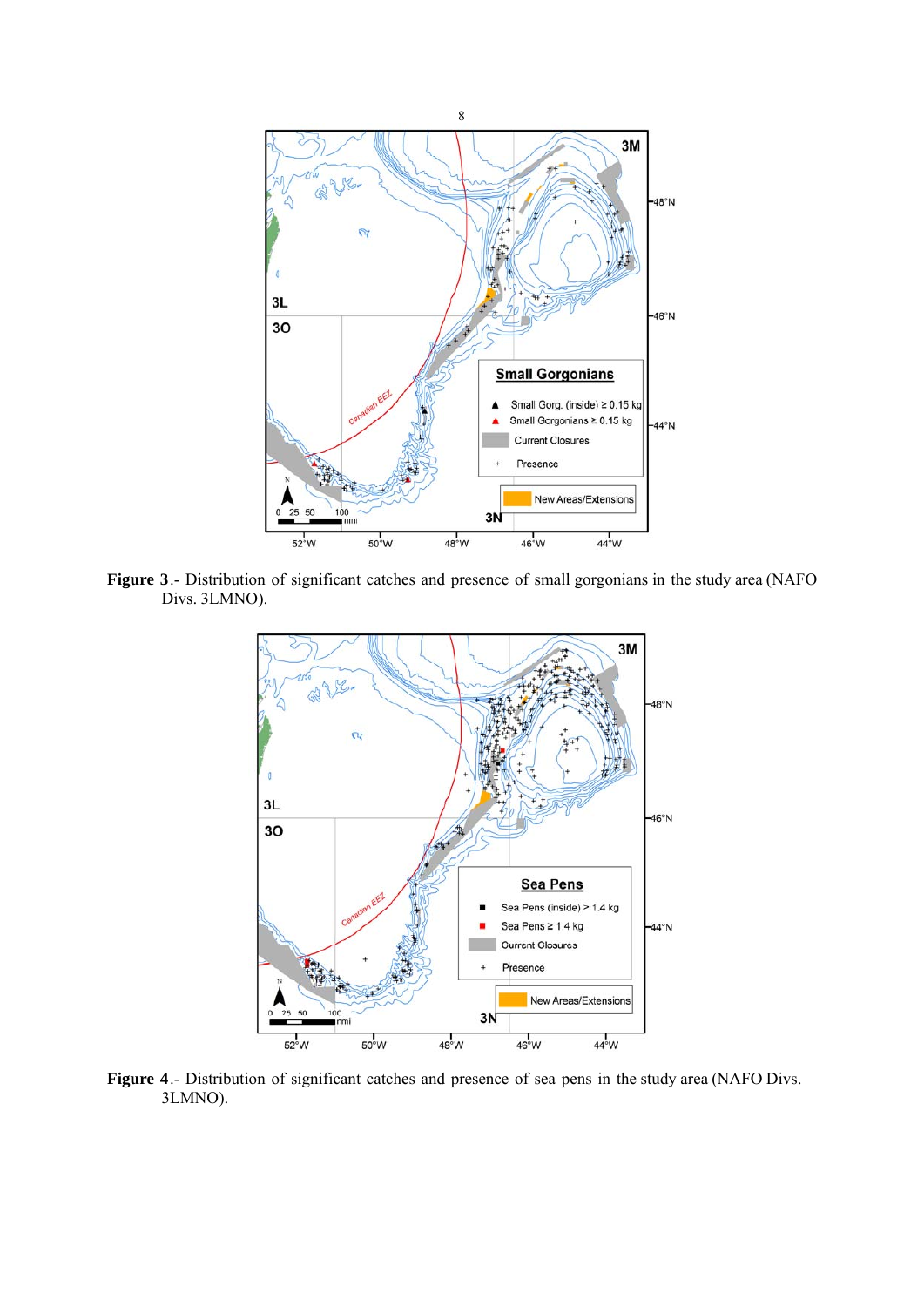

**Figure 3**.- Distribution of significant catches and presence of small gorgonians in the study area (NAFO Divs. 3LMNO).



**Figure 4**.- Distribution of significant catches and presence of sea pens in the study area (NAFO Divs. 3LMNO).